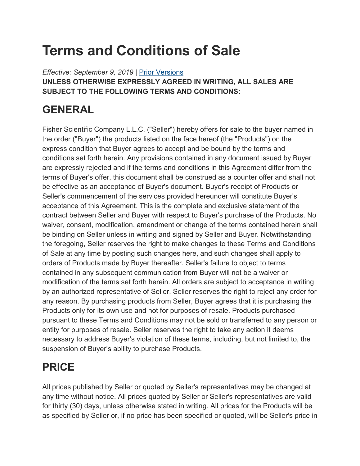# **Terms and Conditions of Sale**

*Effective: September 9, 2019* | [Prior Versions](https://www.fishersci.com/us/en/footer/terms-conditions/sales_terms_and_conditions.html#Prior) **UNLESS OTHERWISE EXPRESSLY AGREED IN WRITING, ALL SALES ARE SUBJECT TO THE FOLLOWING TERMS AND CONDITIONS:**

# **GENERAL**

Fisher Scientific Company L.L.C. ("Seller") hereby offers for sale to the buyer named in the order ("Buyer") the products listed on the face hereof (the "Products") on the express condition that Buyer agrees to accept and be bound by the terms and conditions set forth herein. Any provisions contained in any document issued by Buyer are expressly rejected and if the terms and conditions in this Agreement differ from the terms of Buyer's offer, this document shall be construed as a counter offer and shall not be effective as an acceptance of Buyer's document. Buyer's receipt of Products or Seller's commencement of the services provided hereunder will constitute Buyer's acceptance of this Agreement. This is the complete and exclusive statement of the contract between Seller and Buyer with respect to Buyer's purchase of the Products. No waiver, consent, modification, amendment or change of the terms contained herein shall be binding on Seller unless in writing and signed by Seller and Buyer. Notwithstanding the foregoing, Seller reserves the right to make changes to these Terms and Conditions of Sale at any time by posting such changes here, and such changes shall apply to orders of Products made by Buyer thereafter. Seller's failure to object to terms contained in any subsequent communication from Buyer will not be a waiver or modification of the terms set forth herein. All orders are subject to acceptance in writing by an authorized representative of Seller. Seller reserves the right to reject any order for any reason. By purchasing products from Seller, Buyer agrees that it is purchasing the Products only for its own use and not for purposes of resale. Products purchased pursuant to these Terms and Conditions may not be sold or transferred to any person or entity for purposes of resale. Seller reserves the right to take any action it deems necessary to address Buyer's violation of these terms, including, but not limited to, the suspension of Buyer's ability to purchase Products.

# **PRICE**

All prices published by Seller or quoted by Seller's representatives may be changed at any time without notice. All prices quoted by Seller or Seller's representatives are valid for thirty (30) days, unless otherwise stated in writing. All prices for the Products will be as specified by Seller or, if no price has been specified or quoted, will be Seller's price in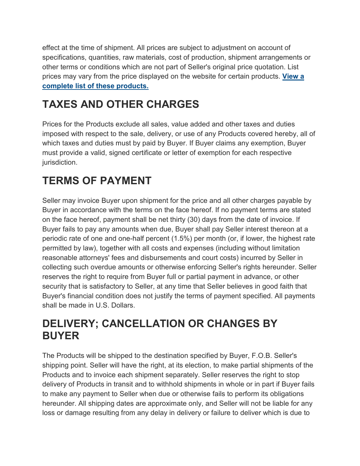effect at the time of shipment. All prices are subject to adjustment on account of specifications, quantities, raw materials, cost of production, shipment arrangements or other terms or conditions which are not part of Seller's original price quotation. List prices may vary from the price displayed on the website for certain products. **[View](https://beta-static.fishersci.com/content/dam/fishersci/en_US/documents/programs/scientific/regulatory-documents/terms-conditions/Revised-Terms-Conditions-Notice-Web-Pricing-Project-2019.pdf) a complete list of these [products.](https://beta-static.fishersci.com/content/dam/fishersci/en_US/documents/programs/scientific/regulatory-documents/terms-conditions/Revised-Terms-Conditions-Notice-Web-Pricing-Project-2019.pdf)**

# **TAXES AND OTHER CHARGES**

Prices for the Products exclude all sales, value added and other taxes and duties imposed with respect to the sale, delivery, or use of any Products covered hereby, all of which taxes and duties must by paid by Buyer. If Buyer claims any exemption, Buyer must provide a valid, signed certificate or letter of exemption for each respective jurisdiction.

# **TERMS OF PAYMENT**

Seller may invoice Buyer upon shipment for the price and all other charges payable by Buyer in accordance with the terms on the face hereof. If no payment terms are stated on the face hereof, payment shall be net thirty (30) days from the date of invoice. If Buyer fails to pay any amounts when due, Buyer shall pay Seller interest thereon at a periodic rate of one and one-half percent (1.5%) per month (or, if lower, the highest rate permitted by law), together with all costs and expenses (including without limitation reasonable attorneys' fees and disbursements and court costs) incurred by Seller in collecting such overdue amounts or otherwise enforcing Seller's rights hereunder. Seller reserves the right to require from Buyer full or partial payment in advance, or other security that is satisfactory to Seller, at any time that Seller believes in good faith that Buyer's financial condition does not justify the terms of payment specified. All payments shall be made in U.S. Dollars.

### **DELIVERY; CANCELLATION OR CHANGES BY BUYER**

The Products will be shipped to the destination specified by Buyer, F.O.B. Seller's shipping point. Seller will have the right, at its election, to make partial shipments of the Products and to invoice each shipment separately. Seller reserves the right to stop delivery of Products in transit and to withhold shipments in whole or in part if Buyer fails to make any payment to Seller when due or otherwise fails to perform its obligations hereunder. All shipping dates are approximate only, and Seller will not be liable for any loss or damage resulting from any delay in delivery or failure to deliver which is due to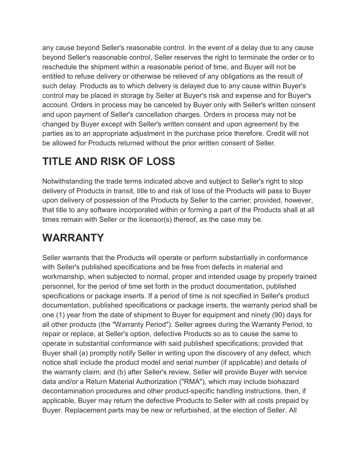any cause beyond Seller's reasonable control. In the event of a delay due to any cause beyond Seller's reasonable control, Seller reserves the right to terminate the order or to reschedule the shipment within a reasonable period of time, and Buyer will not be entitled to refuse delivery or otherwise be relieved of any obligations as the result of such delay. Products as to which delivery is delayed due to any cause within Buyer's control may be placed in storage by Seller at Buyer's risk and expense and for Buyer's account. Orders in process may be canceled by Buyer only with Seller's written consent and upon payment of Seller's cancellation charges. Orders in process may not be changed by Buyer except with Seller's written consent and upon agreement by the parties as to an appropriate adjustment in the purchase price therefore. Credit will not be allowed for Products returned without the prior written consent of Seller.

### **TITLE AND RISK OF LOSS**

Notwithstanding the trade terms indicated above and subject to Seller's right to stop delivery of Products in transit, title to and risk of loss of the Products will pass to Buyer upon delivery of possession of the Products by Seller to the carrier; provided, however, that title to any software incorporated within or forming a part of the Products shall at all times remain with Seller or the licensor(s) thereof, as the case may be.

### **WARRANTY**

Seller warrants that the Products will operate or perform substantially in conformance with Seller's published specifications and be free from defects in material and workmanship, when subjected to normal, proper and intended usage by properly trained personnel, for the period of time set forth in the product documentation, published specifications or package inserts. If a period of time is not specified in Seller's product documentation, published specifications or package inserts, the warranty period shall be one (1) year from the date of shipment to Buyer for equipment and ninety (90) days for all other products (the "Warranty Period"). Seller agrees during the Warranty Period, to repair or replace, at Seller's option, defective Products so as to cause the same to operate in substantial conformance with said published specifications; provided that Buyer shall (a) promptly notify Seller in writing upon the discovery of any defect, which notice shall include the product model and serial number (if applicable) and details of the warranty claim; and (b) after Seller's review, Seller will provide Buyer with service data and/or a Return Material Authorization ("RMA"), which may include biohazard decontamination procedures and other product-specific handling instructions, then, if applicable, Buyer may return the defective Products to Seller with all costs prepaid by Buyer. Replacement parts may be new or refurbished, at the election of Seller. All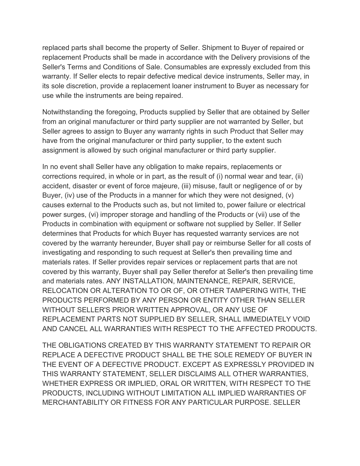replaced parts shall become the property of Seller. Shipment to Buyer of repaired or replacement Products shall be made in accordance with the Delivery provisions of the Seller's Terms and Conditions of Sale. Consumables are expressly excluded from this warranty. If Seller elects to repair defective medical device instruments, Seller may, in its sole discretion, provide a replacement loaner instrument to Buyer as necessary for use while the instruments are being repaired.

Notwithstanding the foregoing, Products supplied by Seller that are obtained by Seller from an original manufacturer or third party supplier are not warranted by Seller, but Seller agrees to assign to Buyer any warranty rights in such Product that Seller may have from the original manufacturer or third party supplier, to the extent such assignment is allowed by such original manufacturer or third party supplier.

In no event shall Seller have any obligation to make repairs, replacements or corrections required, in whole or in part, as the result of (i) normal wear and tear, (ii) accident, disaster or event of force majeure, (iii) misuse, fault or negligence of or by Buyer, (iv) use of the Products in a manner for which they were not designed, (v) causes external to the Products such as, but not limited to, power failure or electrical power surges, (vi) improper storage and handling of the Products or (vii) use of the Products in combination with equipment or software not supplied by Seller. If Seller determines that Products for which Buyer has requested warranty services are not covered by the warranty hereunder, Buyer shall pay or reimburse Seller for all costs of investigating and responding to such request at Seller's then prevailing time and materials rates. If Seller provides repair services or replacement parts that are not covered by this warranty, Buyer shall pay Seller therefor at Seller's then prevailing time and materials rates. ANY INSTALLATION, MAINTENANCE, REPAIR, SERVICE, RELOCATION OR ALTERATION TO OR OF, OR OTHER TAMPERING WITH, THE PRODUCTS PERFORMED BY ANY PERSON OR ENTITY OTHER THAN SELLER WITHOUT SELLER'S PRIOR WRITTEN APPROVAL, OR ANY USE OF REPLACEMENT PARTS NOT SUPPLIED BY SELLER, SHALL IMMEDIATELY VOID AND CANCEL ALL WARRANTIES WITH RESPECT TO THE AFFECTED PRODUCTS.

THE OBLIGATIONS CREATED BY THIS WARRANTY STATEMENT TO REPAIR OR REPLACE A DEFECTIVE PRODUCT SHALL BE THE SOLE REMEDY OF BUYER IN THE EVENT OF A DEFECTIVE PRODUCT. EXCEPT AS EXPRESSLY PROVIDED IN THIS WARRANTY STATEMENT, SELLER DISCLAIMS ALL OTHER WARRANTIES, WHETHER EXPRESS OR IMPLIED, ORAL OR WRITTEN, WITH RESPECT TO THE PRODUCTS, INCLUDING WITHOUT LIMITATION ALL IMPLIED WARRANTIES OF MERCHANTABILITY OR FITNESS FOR ANY PARTICULAR PURPOSE. SELLER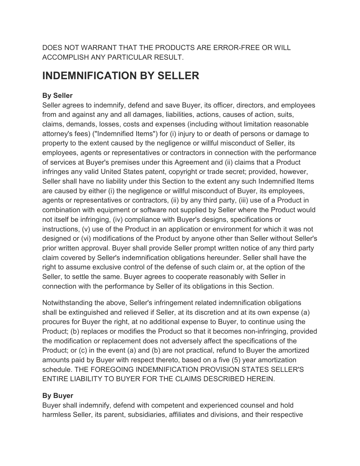DOES NOT WARRANT THAT THE PRODUCTS ARE ERROR-FREE OR WILL ACCOMPLISH ANY PARTICULAR RESULT.

### **INDEMNIFICATION BY SELLER**

#### **By Seller**

Seller agrees to indemnify, defend and save Buyer, its officer, directors, and employees from and against any and all damages, liabilities, actions, causes of action, suits, claims, demands, losses, costs and expenses (including without limitation reasonable attorney's fees) ("Indemnified Items") for (i) injury to or death of persons or damage to property to the extent caused by the negligence or willful misconduct of Seller, its employees, agents or representatives or contractors in connection with the performance of services at Buyer's premises under this Agreement and (ii) claims that a Product infringes any valid United States patent, copyright or trade secret; provided, however, Seller shall have no liability under this Section to the extent any such Indemnified Items are caused by either (i) the negligence or willful misconduct of Buyer, its employees, agents or representatives or contractors, (ii) by any third party, (iii) use of a Product in combination with equipment or software not supplied by Seller where the Product would not itself be infringing, (iv) compliance with Buyer's designs, specifications or instructions, (v) use of the Product in an application or environment for which it was not designed or (vi) modifications of the Product by anyone other than Seller without Seller's prior written approval. Buyer shall provide Seller prompt written notice of any third party claim covered by Seller's indemnification obligations hereunder. Seller shall have the right to assume exclusive control of the defense of such claim or, at the option of the Seller, to settle the same. Buyer agrees to cooperate reasonably with Seller in connection with the performance by Seller of its obligations in this Section.

Notwithstanding the above, Seller's infringement related indemnification obligations shall be extinguished and relieved if Seller, at its discretion and at its own expense (a) procures for Buyer the right, at no additional expense to Buyer, to continue using the Product; (b) replaces or modifies the Product so that it becomes non-infringing, provided the modification or replacement does not adversely affect the specifications of the Product; or (c) in the event (a) and (b) are not practical, refund to Buyer the amortized amounts paid by Buyer with respect thereto, based on a five (5) year amortization schedule. THE FOREGOING INDEMNIFICATION PROVISION STATES SELLER'S ENTIRE LIABILITY TO BUYER FOR THE CLAIMS DESCRIBED HEREIN.

#### **By Buyer**

Buyer shall indemnify, defend with competent and experienced counsel and hold harmless Seller, its parent, subsidiaries, affiliates and divisions, and their respective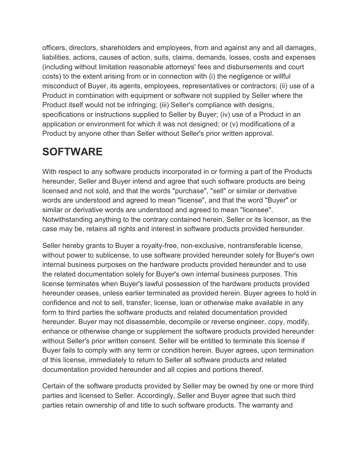officers, directors, shareholders and employees, from and against any and all damages, liabilities, actions, causes of action, suits, claims, demands, losses, costs and expenses (including without limitation reasonable attorneys' fees and disbursements and court costs) to the extent arising from or in connection with (i) the negligence or willful misconduct of Buyer, its agents, employees, representatives or contractors; (ii) use of a Product in combination with equipment or software not supplied by Seller where the Product itself would not be infringing; (iii) Seller's compliance with designs, specifications or instructions supplied to Seller by Buyer; (iv) use of a Product in an application or environment for which it was not designed; or (v) modifications of a Product by anyone other than Seller without Seller's prior written approval.

### **SOFTWARE**

With respect to any software products incorporated in or forming a part of the Products hereunder, Seller and Buyer intend and agree that such software products are being licensed and not sold, and that the words "purchase", "sell" or similar or derivative words are understood and agreed to mean "license", and that the word "Buyer" or similar or derivative words are understood and agreed to mean "licensee". Notwithstanding anything to the contrary contained herein, Seller or its licensor, as the case may be, retains all rights and interest in software products provided hereunder.

Seller hereby grants to Buyer a royalty-free, non-exclusive, nontransferable license, without power to sublicense, to use software provided hereunder solely for Buyer's own internal business purposes on the hardware products provided hereunder and to use the related documentation solely for Buyer's own internal business purposes. This license terminates when Buyer's lawful possession of the hardware products provided hereunder ceases, unless earlier terminated as provided herein. Buyer agrees to hold in confidence and not to sell, transfer, license, loan or otherwise make available in any form to third parties the software products and related documentation provided hereunder. Buyer may not disassemble, decompile or reverse engineer, copy, modify, enhance or otherwise change or supplement the software products provided hereunder without Seller's prior written consent. Seller will be entitled to terminate this license if Buyer fails to comply with any term or condition herein. Buyer agrees, upon termination of this license, immediately to return to Seller all software products and related documentation provided hereunder and all copies and portions thereof.

Certain of the software products provided by Seller may be owned by one or more third parties and licensed to Seller. Accordingly, Seller and Buyer agree that such third parties retain ownership of and title to such software products. The warranty and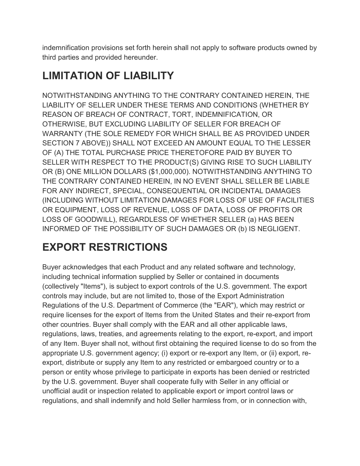indemnification provisions set forth herein shall not apply to software products owned by third parties and provided hereunder.

# **LIMITATION OF LIABILITY**

NOTWITHSTANDING ANYTHING TO THE CONTRARY CONTAINED HEREIN, THE LIABILITY OF SELLER UNDER THESE TERMS AND CONDITIONS (WHETHER BY REASON OF BREACH OF CONTRACT, TORT, INDEMNIFICATION, OR OTHERWISE, BUT EXCLUDING LIABILITY OF SELLER FOR BREACH OF WARRANTY (THE SOLE REMEDY FOR WHICH SHALL BE AS PROVIDED UNDER SECTION 7 ABOVE)) SHALL NOT EXCEED AN AMOUNT EQUAL TO THE LESSER OF (A) THE TOTAL PURCHASE PRICE THERETOFORE PAID BY BUYER TO SELLER WITH RESPECT TO THE PRODUCT(S) GIVING RISE TO SUCH LIABILITY OR (B) ONE MILLION DOLLARS (\$1,000,000). NOTWITHSTANDING ANYTHING TO THE CONTRARY CONTAINED HEREIN, IN NO EVENT SHALL SELLER BE LIABLE FOR ANY INDIRECT, SPECIAL, CONSEQUENTIAL OR INCIDENTAL DAMAGES (INCLUDING WITHOUT LIMITATION DAMAGES FOR LOSS OF USE OF FACILITIES OR EQUIPMENT, LOSS OF REVENUE, LOSS OF DATA, LOSS OF PROFITS OR LOSS OF GOODWILL), REGARDLESS OF WHETHER SELLER (a) HAS BEEN INFORMED OF THE POSSIBILITY OF SUCH DAMAGES OR (b) IS NEGLIGENT.

# **EXPORT RESTRICTIONS**

Buyer acknowledges that each Product and any related software and technology, including technical information supplied by Seller or contained in documents (collectively "Items"), is subject to export controls of the U.S. government. The export controls may include, but are not limited to, those of the Export Administration Regulations of the U.S. Department of Commerce (the "EAR"), which may restrict or require licenses for the export of Items from the United States and their re-export from other countries. Buyer shall comply with the EAR and all other applicable laws, regulations, laws, treaties, and agreements relating to the export, re-export, and import of any Item. Buyer shall not, without first obtaining the required license to do so from the appropriate U.S. government agency; (i) export or re-export any Item, or (ii) export, reexport, distribute or supply any Item to any restricted or embargoed country or to a person or entity whose privilege to participate in exports has been denied or restricted by the U.S. government. Buyer shall cooperate fully with Seller in any official or unofficial audit or inspection related to applicable export or import control laws or regulations, and shall indemnify and hold Seller harmless from, or in connection with,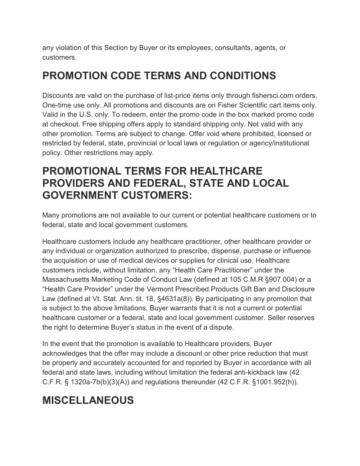any violation of this Section by Buyer or its employees, consultants, agents, or customers.

### **PROMOTION CODE TERMS AND CONDITIONS**

Discounts are valid on the purchase of list-price items only through fishersci.com orders. One-time use only. All promotions and discounts are on Fisher Scientific cart items only. Valid in the U.S. only. To redeem, enter the promo code in the box marked promo code at checkout. Free shipping offers apply to standard shipping only. Not valid with any other promotion. Terms are subject to change. Offer void where prohibited, licensed or restricted by federal, state, provincial or local laws or regulation or agency/institutional policy. Other restrictions may apply.

### **PROMOTIONAL TERMS FOR HEALTHCARE PROVIDERS AND FEDERAL, STATE AND LOCAL GOVERNMENT CUSTOMERS:**

Many promotions are not available to our current or potential healthcare customers or to federal, state and local government customers.

Healthcare customers include any healthcare practitioner, other healthcare provider or any individual or organization authorized to prescribe, dispense, purchase or influence the acquisition or use of medical devices or supplies for clinical use. Healthcare customers include, without limitation, any "Health Care Practitioner" under the Massachusetts Marketing Code of Conduct Law (defined at 105 C.M.R §907.004) or a "Health Care Provider" under the Vermont Prescribed Products Gift Ban and Disclosure Law (defined at Vt. Stat. Ann. tit. 18, §4631a(8)). By participating in any promotion that is subject to the above limitations, Buyer warrants that it is not a current or potential healthcare customer or a federal, state and local government customer. Seller reserves the right to determine Buyer's status in the event of a dispute.

In the event that the promotion is available to Healthcare providers, Buyer acknowledges that the offer may include a discount or other price reduction that must be properly and accurately accounted for and reported by Buyer in accordance with all federal and state laws, including without limitation the federal anti-kickback law (42 C.F.R. § 1320a-7b(b)(3)(A)) and regulations thereunder (42 C.F.R. §1001.952(h)).

# **MISCELLANEOUS**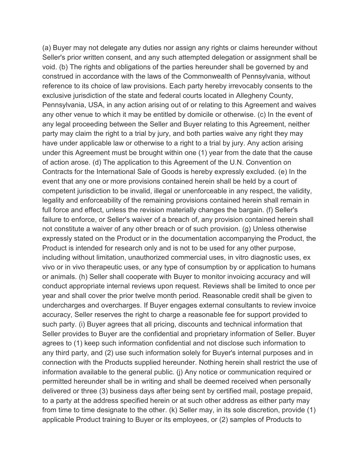(a) Buyer may not delegate any duties nor assign any rights or claims hereunder without Seller's prior written consent, and any such attempted delegation or assignment shall be void. (b) The rights and obligations of the parties hereunder shall be governed by and construed in accordance with the laws of the Commonwealth of Pennsylvania, without reference to its choice of law provisions. Each party hereby irrevocably consents to the exclusive jurisdiction of the state and federal courts located in Allegheny County, Pennsylvania, USA, in any action arising out of or relating to this Agreement and waives any other venue to which it may be entitled by domicile or otherwise. (c) In the event of any legal proceeding between the Seller and Buyer relating to this Agreement, neither party may claim the right to a trial by jury, and both parties waive any right they may have under applicable law or otherwise to a right to a trial by jury. Any action arising under this Agreement must be brought within one (1) year from the date that the cause of action arose. (d) The application to this Agreement of the U.N. Convention on Contracts for the International Sale of Goods is hereby expressly excluded. (e) In the event that any one or more provisions contained herein shall be held by a court of competent jurisdiction to be invalid, illegal or unenforceable in any respect, the validity, legality and enforceability of the remaining provisions contained herein shall remain in full force and effect, unless the revision materially changes the bargain. (f) Seller's failure to enforce, or Seller's waiver of a breach of, any provision contained herein shall not constitute a waiver of any other breach or of such provision. (g) Unless otherwise expressly stated on the Product or in the documentation accompanying the Product, the Product is intended for research only and is not to be used for any other purpose, including without limitation, unauthorized commercial uses, in vitro diagnostic uses, ex vivo or in vivo therapeutic uses, or any type of consumption by or application to humans or animals. (h) Seller shall cooperate with Buyer to monitor invoicing accuracy and will conduct appropriate internal reviews upon request. Reviews shall be limited to once per year and shall cover the prior twelve month period. Reasonable credit shall be given to undercharges and overcharges. If Buyer engages external consultants to review invoice accuracy, Seller reserves the right to charge a reasonable fee for support provided to such party. (i) Buyer agrees that all pricing, discounts and technical information that Seller provides to Buyer are the confidential and proprietary information of Seller. Buyer agrees to (1) keep such information confidential and not disclose such information to any third party, and (2) use such information solely for Buyer's internal purposes and in connection with the Products supplied hereunder. Nothing herein shall restrict the use of information available to the general public. (j) Any notice or communication required or permitted hereunder shall be in writing and shall be deemed received when personally delivered or three (3) business days after being sent by certified mail, postage prepaid, to a party at the address specified herein or at such other address as either party may from time to time designate to the other. (k) Seller may, in its sole discretion, provide (1) applicable Product training to Buyer or its employees, or (2) samples of Products to